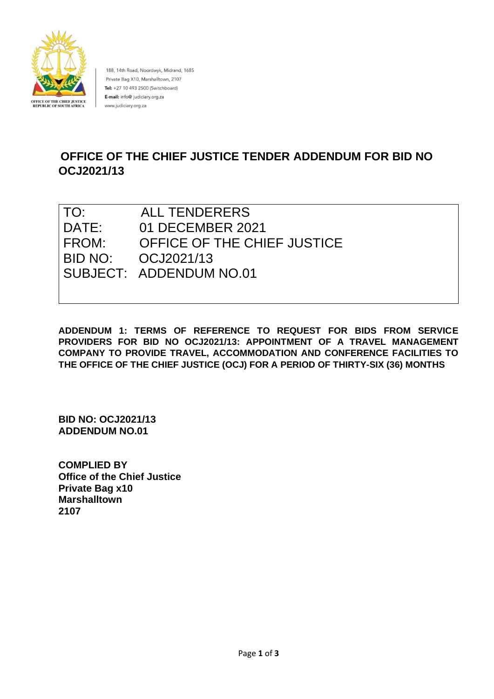

188, 14th Road, Noordwyk, Midrand, 1685 Private Bag X10, Marshalltown, 2107 Tel: +27 10 493 2500 (Switchboard) E-mail: info@ judiciary.org.za www.judiciary.org.za

# **OFFICE OF THE CHIEF JUSTICE TENDER ADDENDUM FOR BID NO OCJ2021/13**

| TO:   | <b>ALL TENDERERS</b>        |
|-------|-----------------------------|
| DATE: | 01 DECEMBER 2021            |
| FROM: | OFFICE OF THE CHIEF JUSTICE |
|       | BID NO: 0CJ2021/13          |
|       | SUBJECT: ADDENDUM NO.01     |
|       |                             |

**ADDENDUM 1: TERMS OF REFERENCE TO REQUEST FOR BIDS FROM SERVICE PROVIDERS FOR BID NO OCJ2021/13: APPOINTMENT OF A TRAVEL MANAGEMENT COMPANY TO PROVIDE TRAVEL, ACCOMMODATION AND CONFERENCE FACILITIES TO THE OFFICE OF THE CHIEF JUSTICE (OCJ) FOR A PERIOD OF THIRTY-SIX (36) MONTHS**

**BID NO: OCJ2021/13 ADDENDUM NO.01**

**COMPLIED BY Office of the Chief Justice Private Bag x10 Marshalltown 2107**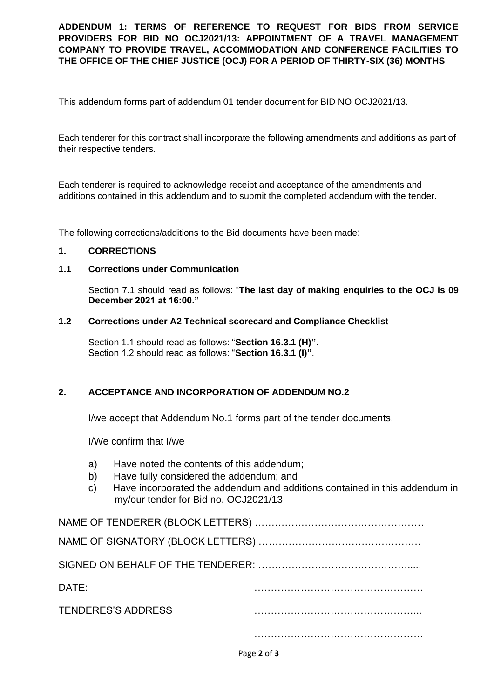**ADDENDUM 1: TERMS OF REFERENCE TO REQUEST FOR BIDS FROM SERVICE PROVIDERS FOR BID NO OCJ2021/13: APPOINTMENT OF A TRAVEL MANAGEMENT COMPANY TO PROVIDE TRAVEL, ACCOMMODATION AND CONFERENCE FACILITIES TO THE OFFICE OF THE CHIEF JUSTICE (OCJ) FOR A PERIOD OF THIRTY-SIX (36) MONTHS**

This addendum forms part of addendum 01 tender document for BID NO OCJ2021/13.

Each tenderer for this contract shall incorporate the following amendments and additions as part of their respective tenders.

Each tenderer is required to acknowledge receipt and acceptance of the amendments and additions contained in this addendum and to submit the completed addendum with the tender.

The following corrections/additions to the Bid documents have been made:

# **1. CORRECTIONS**

## **1.1 Corrections under Communication**

Section 7.1 should read as follows: "**The last day of making enquiries to the OCJ is 09 December 2021 at 16:00."**

#### **1.2 Corrections under A2 Technical scorecard and Compliance Checklist**

Section 1.1 should read as follows: "**Section 16.3.1 (H)"**. Section 1.2 should read as follows: "**Section 16.3.1 (I)"**.

### **2. ACCEPTANCE AND INCORPORATION OF ADDENDUM NO.2**

I/we accept that Addendum No.1 forms part of the tender documents.

I/We confirm that I/we

- a) Have noted the contents of this addendum;
- b) Have fully considered the addendum; and
- c) Have incorporated the addendum and additions contained in this addendum in my/our tender for Bid no. OCJ2021/13

| DATE:                     |  |
|---------------------------|--|
| <b>TENDERES'S ADDRESS</b> |  |
|                           |  |